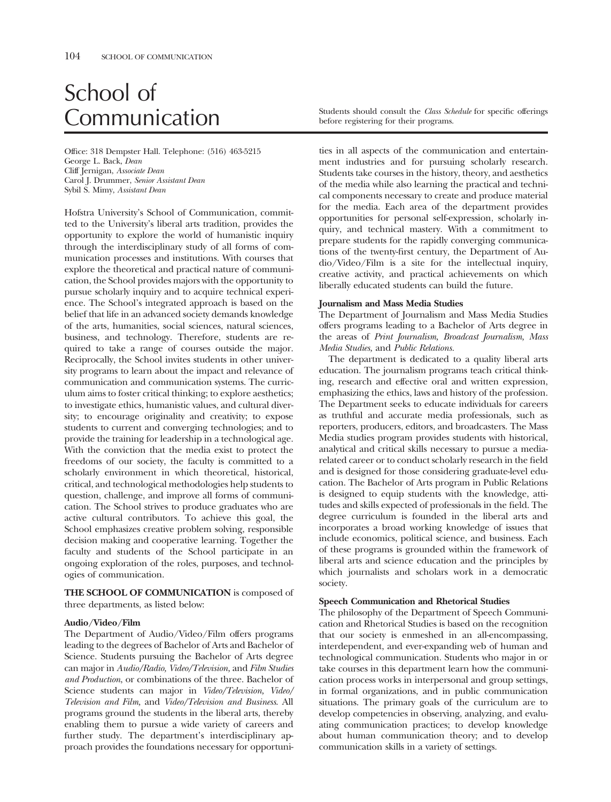# School of

Office: 318 Dempster Hall. Telephone: (516) 463-5215 George L. Back, *Dean*  Cliff Jernigan, *Associate Dean*  Carol J. Drummer, *Senior Assistant Dean*  Sybil S. Mimy, *Assistant Dean* 

Hofstra University's School of Communication, committed to the University's liberal arts tradition, provides the opportunity to explore the world of humanistic inquiry through the interdisciplinary study of all forms of communication processes and institutions. With courses that explore the theoretical and practical nature of communication, the School provides majors with the opportunity to pursue scholarly inquiry and to acquire technical experience. The School's integrated approach is based on the belief that life in an advanced society demands knowledge of the arts, humanities, social sciences, natural sciences, business, and technology. Therefore, students are required to take a range of courses outside the major. Reciprocally, the School invites students in other university programs to learn about the impact and relevance of communication and communication systems. The curriculum aims to foster critical thinking; to explore aesthetics; to investigate ethics, humanistic values, and cultural diversity; to encourage originality and creativity; to expose students to current and converging technologies; and to provide the training for leadership in a technological age. With the conviction that the media exist to protect the freedoms of our society, the faculty is committed to a scholarly environment in which theoretical, historical, critical, and technological methodologies help students to question, challenge, and improve all forms of communication. The School strives to produce graduates who are active cultural contributors. To achieve this goal, the School emphasizes creative problem solving, responsible decision making and cooperative learning. Together the faculty and students of the School participate in an ongoing exploration of the roles, purposes, and technologies of communication.

**THE SCHOOL OF COMMUNICATION** is composed of three departments, as listed below:

## **Audio/Video/Film**

The Department of Audio/Video/Film offers programs leading to the degrees of Bachelor of Arts and Bachelor of Science. Students pursuing the Bachelor of Arts degree can major in *Audio/Radio, Video/Television,* and *Film Studies and Production*, or combinations of the three. Bachelor of Science students can major in *Video/Television, Video/ Television and Film,* and *Video/Television and Business*. All programs ground the students in the liberal arts, thereby enabling them to pursue a wide variety of careers and further study. The department's interdisciplinary approach provides the foundations necessary for opportuni-

Communication Students should consult the *Class Schedule* for specific offerings before registering for their programs.

ties in all aspects of the communication and entertainment industries and for pursuing scholarly research. Students take courses in the history, theory, and aesthetics of the media while also learning the practical and technical components necessary to create and produce material for the media. Each area of the department provides opportunities for personal self-expression, scholarly inquiry, and technical mastery. With a commitment to prepare students for the rapidly converging communications of the twenty-frst century, the Department of Audio/Video/Film is a site for the intellectual inquiry, creative activity, and practical achievements on which liberally educated students can build the future.

#### **Journalism and Mass Media Studies**

The Department of Journalism and Mass Media Studies offers programs leading to a Bachelor of Arts degree in the areas of *Print Journalism, Broadcast Journalism, Mass Media Studies,* and *Public Relations.* 

The department is dedicated to a quality liberal arts education. The journalism programs teach critical thinking, research and effective oral and written expression, emphasizing the ethics, laws and history of the profession. The Department seeks to educate individuals for careers as truthful and accurate media professionals, such as reporters, producers, editors, and broadcasters. The Mass Media studies program provides students with historical, analytical and critical skills necessary to pursue a mediarelated career or to conduct scholarly research in the feld and is designed for those considering graduate-level education. The Bachelor of Arts program in Public Relations is designed to equip students with the knowledge, attitudes and skills expected of professionals in the feld. The degree curriculum is founded in the liberal arts and incorporates a broad working knowledge of issues that include economics, political science, and business. Each of these programs is grounded within the framework of liberal arts and science education and the principles by which journalists and scholars work in a democratic society.

## **Speech Communication and Rhetorical Studies**

The philosophy of the Department of Speech Communication and Rhetorical Studies is based on the recognition that our society is enmeshed in an all-encompassing, interdependent, and ever-expanding web of human and technological communication. Students who major in or take courses in this department learn how the communication process works in interpersonal and group settings, in formal organizations, and in public communication situations. The primary goals of the curriculum are to develop competencies in observing, analyzing, and evaluating communication practices; to develop knowledge about human communication theory; and to develop communication skills in a variety of settings.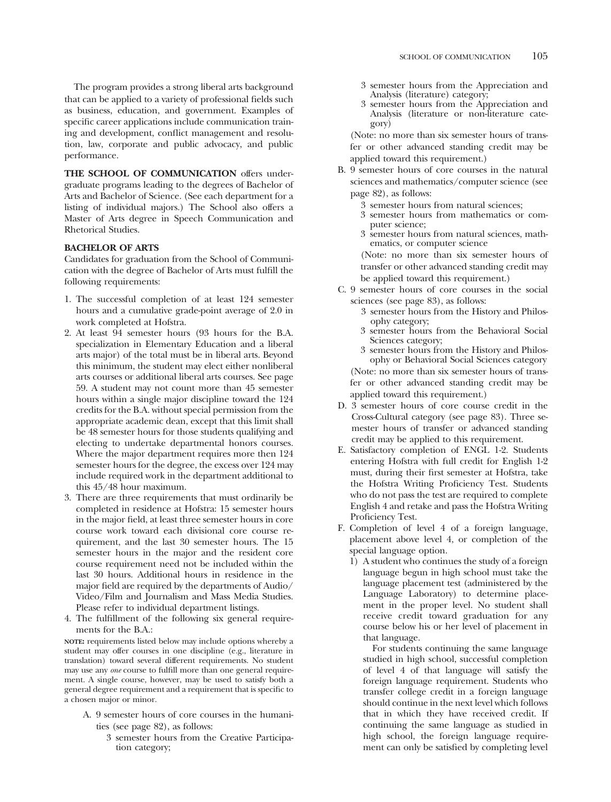The program provides a strong liberal arts background that can be applied to a variety of professional felds such as business, education, and government. Examples of specifc career applications include communication training and development, confict management and resolution, law, corporate and public advocacy, and public performance.

**THE SCHOOL OF COMMUNICATION** offers undergraduate programs leading to the degrees of Bachelor of Arts and Bachelor of Science. (See each department for a listing of individual majors.) The School also offers a Master of Arts degree in Speech Communication and Rhetorical Studies.

# **BACHELOR OF ARTS**

Candidates for graduation from the School of Communication with the degree of Bachelor of Arts must fulfll the following requirements:

- 1. The successful completion of at least 124 semester hours and a cumulative grade-point average of 2.0 in work completed at Hofstra.
- 2. At least 94 semester hours (93 hours for the B.A. specialization in Elementary Education and a liberal arts major) of the total must be in liberal arts. Beyond this minimum, the student may elect either nonliberal arts courses or additional liberal arts courses. See page 59. A student may not count more than 45 semester hours within a single major discipline toward the 124 credits for the B.A. without special permission from the appropriate academic dean, except that this limit shall be 48 semester hours for those students qualifying and electing to undertake departmental honors courses. Where the major department requires more then 124 semester hours for the degree, the excess over 124 may include required work in the department additional to this 45/48 hour maximum.
- 3. There are three requirements that must ordinarily be completed in residence at Hofstra: 15 semester hours in the major feld, at least three semester hours in core course work toward each divisional core course requirement, and the last 30 semester hours. The 15 semester hours in the major and the resident core course requirement need not be included within the last 30 hours. Additional hours in residence in the major feld are required by the departments of Audio/ Video/Film and Journalism and Mass Media Studies. Please refer to individual department listings.
- 4. The fulfllment of the following six general requirements for the B.A.:

**NOTE:** requirements listed below may include options whereby a student may offer courses in one discipline (e.g., literature in translation) toward several different requirements. No student may use any *one* course to fulfll more than one general requirement. A single course, however, may be used to satisfy both a general degree requirement and a requirement that is specifc to a chosen major or minor.

- A. 9 semester hours of core courses in the humanities (see page 82), as follows:
	- 3 semester hours from the Creative Participation category;
- 3 semester hours from the Appreciation and Analysis (literature) category;
- 3 semester hours from the Appreciation and Analysis (literature or non-literature category)

(Note: no more than six semester hours of transfer or other advanced standing credit may be applied toward this requirement.)

- B. 9 semester hours of core courses in the natural sciences and mathematics/computer science (see page 82), as follows:
	- 3 semester hours from natural sciences;
	- 3 semester hours from mathematics or computer science;
	- 3 semester hours from natural sciences, mathematics, or computer science

(Note: no more than six semester hours of transfer or other advanced standing credit may be applied toward this requirement.)

- C. 9 semester hours of core courses in the social sciences (see page 83), as follows:
	- 3 semester hours from the History and Philosophy category;
	- 3 semester hours from the Behavioral Social Sciences category;<br>3 semester hours from the History and Philos-
	- ophy or Behavioral Social Sciences category (Note: no more than six semester hours of transfer or other advanced standing credit may be applied toward this requirement.)
- D. 3 semester hours of core course credit in the Cross-Cultural category (see page 83). Three semester hours of transfer or advanced standing credit may be applied to this requirement.
- E. Satisfactory completion of ENGL 1-2. Students entering Hofstra with full credit for English 1-2 must, during their frst semester at Hofstra, take the Hofstra Writing Profciency Test. Students who do not pass the test are required to complete English 4 and retake and pass the Hofstra Writing Proficiency Test.
- F. Completion of level 4 of a foreign language, placement above level 4, or completion of the special language option.
	- 1) A student who continues the study of a foreign language begun in high school must take the language placement test (administered by the Language Laboratory) to determine placement in the proper level. No student shall receive credit toward graduation for any course below his or her level of placement in that language.

For students continuing the same language studied in high school, successful completion of level 4 of that language will satisfy the foreign language requirement. Students who transfer college credit in a foreign language should continue in the next level which follows that in which they have received credit. If continuing the same language as studied in high school, the foreign language requirement can only be satisfed by completing level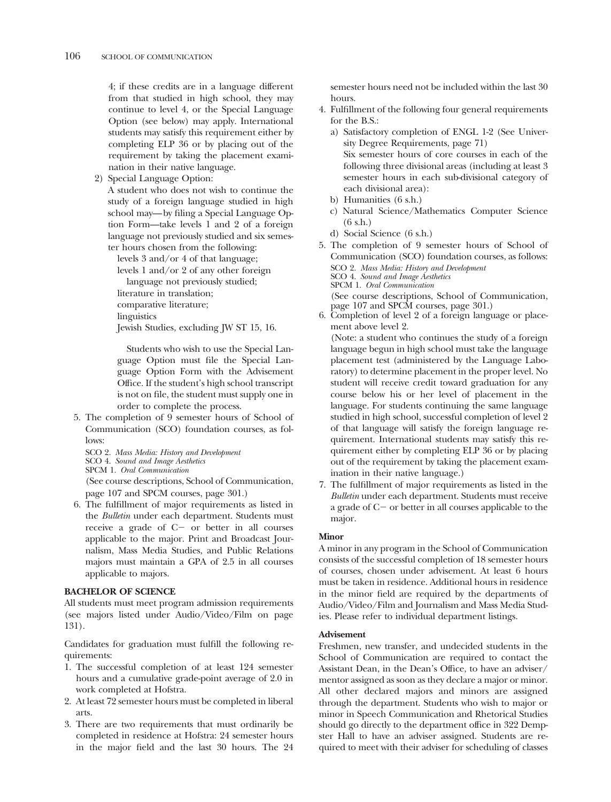4; if these credits are in a language different from that studied in high school, they may continue to level 4, or the Special Language Option (see below) may apply. International students may satisfy this requirement either by completing ELP 36 or by placing out of the requirement by taking the placement examination in their native language.

2) Special Language Option:

A student who does not wish to continue the study of a foreign language studied in high school may—by fling a Special Language Option Form—take levels 1 and 2 of a foreign language not previously studied and six semester hours chosen from the following:

levels 3 and/or 4 of that language;

levels 1 and/or 2 of any other foreign

language not previously studied;

literature in translation;

comparative literature;

linguistics

Jewish Studies, excluding JW ST 15, 16.

Students who wish to use the Special Language Option must fle the Special Language Option Form with the Advisement Office. If the student's high school transcript is not on fle, the student must supply one in order to complete the process.

- 5. The completion of 9 semester hours of School of Communication (SCO) foundation courses, as follows:
	- SCO 2. *Mass Media: History and Development*
	- SCO 4. *Sound and Image Aesthetics*
	- SPCM 1. *Oral Communication*

(See course descriptions, School of Communication, page 107 and SPCM courses, page 301.)

6. The fulfllment of major requirements as listed in the *Bulletin* under each department. Students must receive a grade of  $C$  - or better in all courses applicable to the major. Print and Broadcast Journalism, Mass Media Studies, and Public Relations majors must maintain a GPA of 2.5 in all courses applicable to majors.

## **BACHELOR OF SCIENCE**

All students must meet program admission requirements (see majors listed under Audio/Video/Film on page 131).

Candidates for graduation must fulfll the following requirements:

- 1. The successful completion of at least 124 semester hours and a cumulative grade-point average of 2.0 in work completed at Hofstra.
- 2. At least 72 semester hours must be completed in liberal arts.
- 3. There are two requirements that must ordinarily be completed in residence at Hofstra: 24 semester hours in the major feld and the last 30 hours. The 24

semester hours need not be included within the last 30 hours.

- 4. Fulfllment of the following four general requirements for the B.S.:
	- a) Satisfactory completion of ENGL 1-2 (See University Degree Requirements, page 71) Six semester hours of core courses in each of the following three divisional areas (including at least 3 semester hours in each sub-divisional category of each divisional area):
	- b) Humanities (6 s.h.)
	- c) Natural Science/Mathematics Computer Science (6 s.h.)
	- d) Social Science (6 s.h.)
- 5. The completion of 9 semester hours of School of Communication (SCO) foundation courses, as follows: SCO 2. *Mass Media: History and Development*  SCO 4. *Sound and Image Aesthetics*  SPCM 1. *Oral Communication*  (See course descriptions, School of Communication, page 107 and SPCM courses, page 301.)
- 6. Completion of level 2 of a foreign language or placement above level 2.

(Note: a student who continues the study of a foreign language begun in high school must take the language placement test (administered by the Language Laboratory) to determine placement in the proper level. No student will receive credit toward graduation for any course below his or her level of placement in the language. For students continuing the same language studied in high school, successful completion of level 2 of that language will satisfy the foreign language requirement. International students may satisfy this requirement either by completing ELP 36 or by placing out of the requirement by taking the placement examination in their native language.)

7. The fulfllment of major requirements as listed in the *Bulletin* under each department. Students must receive a grade of  $C<sub>-</sub>$  or better in all courses applicable to the major.

# **Minor**

A minor in any program in the School of Communication consists of the successful completion of 18 semester hours of courses, chosen under advisement. At least 6 hours must be taken in residence. Additional hours in residence in the minor feld are required by the departments of Audio/Video/Film and Journalism and Mass Media Studies. Please refer to individual department listings.

## **Advisement**

Freshmen, new transfer, and undecided students in the School of Communication are required to contact the Assistant Dean, in the Dean's Office, to have an adviser/ mentor assigned as soon as they declare a major or minor. All other declared majors and minors are assigned through the department. Students who wish to major or minor in Speech Communication and Rhetorical Studies should go directly to the department office in 322 Dempster Hall to have an adviser assigned. Students are required to meet with their adviser for scheduling of classes